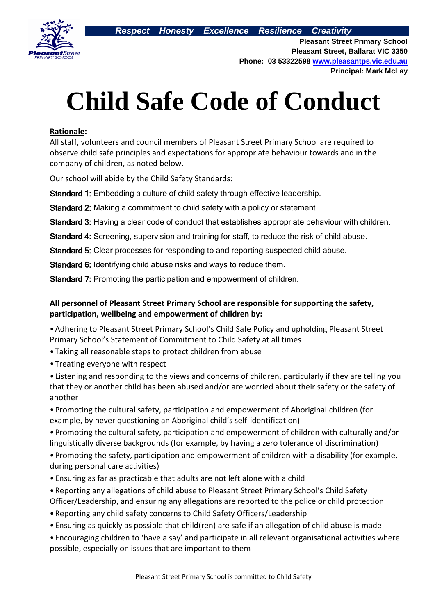

**Pleasant Street Primary School Pleasant Street, Ballarat VIC 3350 Phone: 03 53322598 [www.pleasantps.vic.edu.au](http://www.pleasantps.vic.edu.au/) Principal: Mark McLay**

# **Child Safe Code of Conduct**

#### **Rationale:**

All staff, volunteers and council members of Pleasant Street Primary School are required to observe child safe principles and expectations for appropriate behaviour towards and in the company of children, as noted below.

Our school will abide by the Child Safety Standards:

Standard 1: Embedding a culture of child safety through effective leadership.

Standard 2: Making a commitment to child safety with a policy or statement.

Standard 3: Having a clear code of conduct that establishes appropriate behaviour with children.

Standard 4: Screening, supervision and training for staff, to reduce the risk of child abuse.

Standard 5: Clear processes for responding to and reporting suspected child abuse.

Standard 6: Identifying child abuse risks and ways to reduce them.

Standard 7: Promoting the participation and empowerment of children.

## **All personnel of Pleasant Street Primary School are responsible for supporting the safety, participation, wellbeing and empowerment of children by:**

•Adhering to Pleasant Street Primary School's Child Safe Policy and upholding Pleasant Street Primary School's Statement of Commitment to Child Safety at all times

- •Taking all reasonable steps to protect children from abuse
- •Treating everyone with respect

•Listening and responding to the views and concerns of children, particularly if they are telling you that they or another child has been abused and/or are worried about their safety or the safety of another

•Promoting the cultural safety, participation and empowerment of Aboriginal children (for example, by never questioning an Aboriginal child's self-identification)

•Promoting the cultural safety, participation and empowerment of children with culturally and/or linguistically diverse backgrounds (for example, by having a zero tolerance of discrimination)

•Promoting the safety, participation and empowerment of children with a disability (for example, during personal care activities)

- •Ensuring as far as practicable that adults are not left alone with a child
- •Reporting any allegations of child abuse to Pleasant Street Primary School's Child Safety Officer/Leadership, and ensuring any allegations are reported to the police or child protection
- •Reporting any child safety concerns to Child Safety Officers/Leadership
- •Ensuring as quickly as possible that child(ren) are safe if an allegation of child abuse is made
- •Encouraging children to 'have a say' and participate in all relevant organisational activities where possible, especially on issues that are important to them